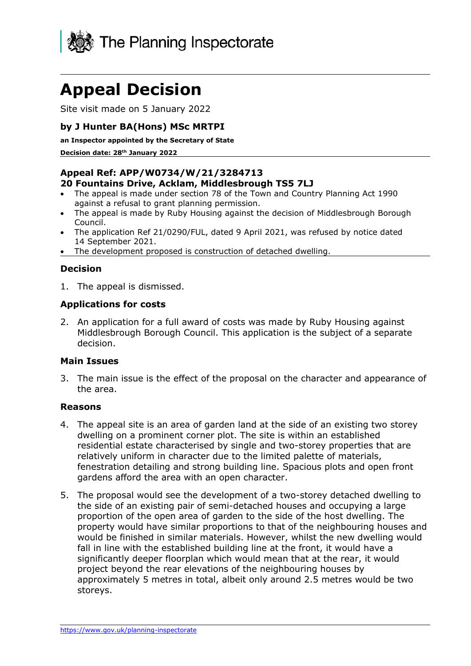

# **Appeal Decision**

Site visit made on 5 January 2022

## **by J Hunter BA(Hons) MSc MRTPI**

**an Inspector appointed by the Secretary of State** 

**Decision date: 28th January 2022**

## **Appeal Ref: APP/W0734/W/21/3284713**

### **20 Fountains Drive, Acklam, Middlesbrough TS5 7LJ**

- The appeal is made under section 78 of the Town and Country Planning Act 1990 against a refusal to grant planning permission.
- The appeal is made by Ruby Housing against the decision of Middlesbrough Borough Council.
- The application Ref 21/0290/FUL, dated 9 April 2021, was refused by notice dated 14 September 2021.
- The development proposed is construction of detached dwelling.

## **Decision**

1. The appeal is dismissed.

### **Applications for costs**

2. An application for a full award of costs was made by Ruby Housing against Middlesbrough Borough Council. This application is the subject of a separate decision.

### **Main Issues**

3. The main issue is the effect of the proposal on the character and appearance of the area.

#### **Reasons**

- 4. The appeal site is an area of garden land at the side of an existing two storey dwelling on a prominent corner plot. The site is within an established residential estate characterised by single and two-storey properties that are relatively uniform in character due to the limited palette of materials, fenestration detailing and strong building line. Spacious plots and open front gardens afford the area with an open character.
- 5. The proposal would see the development of a two-storey detached dwelling to the side of an existing pair of semi-detached houses and occupying a large proportion of the open area of garden to the side of the host dwelling. The property would have similar proportions to that of the neighbouring houses and would be finished in similar materials. However, whilst the new dwelling would fall in line with the established building line at the front, it would have a significantly deeper floorplan which would mean that at the rear, it would project beyond the rear elevations of the neighbouring houses by approximately 5 metres in total, albeit only around 2.5 metres would be two storeys.